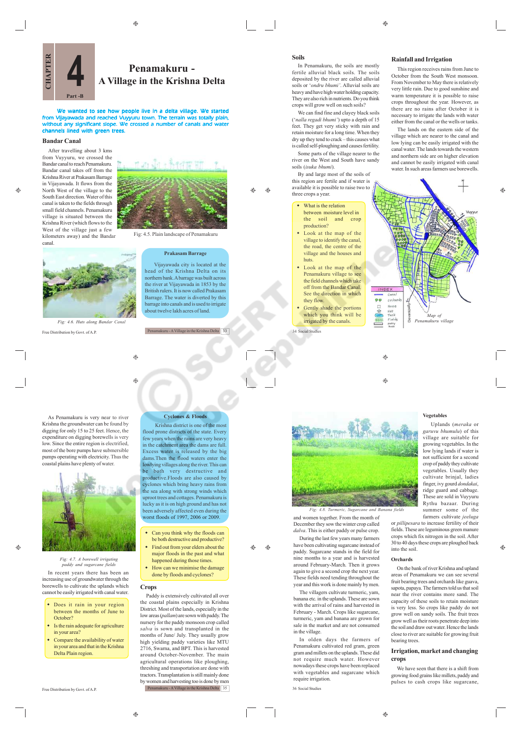⊕



We wanted to see how people live in a delta village. We started from Vijayawada and reached Vuyyuru town. The terrain was totally plain, without any significant slope. We crossed a number of canals and water channels lined with green trees.

 $\triangle$ 

۳

# **Bandar Canal**

canal.

æ

 $\hat{\mathbf{e}}$ 

After travelling about 3 kms from Vuyyuru, we crossed the Bandar canal to reach Penamakuru. Bandar canal takes off from the Krishna River at Prakasam Barrage in Vijayawada. It flows from the North West of the village to the South East direction. Water of this canal is taken to the fields through small field channels. Penamakuru village is situated between the Krishna River (which flows to the West of the village just a few kilometers away) and the Bandar



Fig: 4.5. Plain landscape of Penamakuru

# **Prakasam Barrage**

Vijayawada city is located at the head of the Krishna Delta on its northern bank. A barrage was built across the river at Vijayawada in 1853 by the British rulers. It is now called Prakasam Barrage. The water is diverted by this barrage into canals and is used to irrigate about twelve lakh acres of land.

Penamakuru - A Village in the Krishna Delta 33





*Fig: 4.7. A borewell irrigation paddy and sugarcane fields*

In recent years there has been an increasing use of groundwater through the borewells to cultivate the uplands which cannot be easily irrigated with canal water.

- Does it rain in your region between the months of June to October?
- Is the rain adequate for agriculture in your area?
- Compare the availability of water in your area and that in the Krishna Delta Plain region.



Krishna district is one of the most flood prone districts of the state. Every few years when the rains are very heavy in the catchment area the dams are full. Excess water is released by the big dams.Then the flood waters enter the lowlying villages along the river. This can be both very destructive and productive.Floods are also caused by cyclones which bring heavy rains from the sea along with strong winds which uproot trees and cottages. Penamakuru is lucky as it is on high ground and has not been adversely affected even during the worst floods of 1997, 2006 or 2009.

- Can you think why the floods can be both destructive and productive? Find out from your elders about the
- major floods in the past and what happened during those times. How can we minimise the damage
- done by floods and cyclones?

# **Crops**

۳

Paddy is extensively cultivated all over the coastal plains especially in Krishna District. Most of the lands, especially in the low areas (*pallam*) are sown with paddy. The nursery for the paddy monsoon crop called *salva* is sown and transplanted in the months of June/ July. They usually grow high yielding paddy varieties like MTU 2716, Swarna, and BPT. This is harvested around October-November. The main agricultural operations like ploughing, threshing and transportation are done with tractors. Transplantation is still mainly done by women and harvesting too is done by men Penamakuru - A Village in the Krishna Delta 35

**Soils**

 $\triangle$ 

 $\bigoplus$ 

In Penamakuru, the soils are mostly fertile alluvial black soils. The soils deposited by the river are called alluvial soils or '*ondru bhumi'*. Alluvial soils are heavy and have high water holding capacity. They are also rich in nutrients. Do you think crops will grow well on such soils?

We can find fine and clayey black soils ('*nalla regadi bhumi'*) upto a depth of 15 feet. They get very sticky with rain and retain moisture for a long time. When they dry up they tend to crack – this causes what is called self-ploughing and causes fertility. Some parts of the village nearer to the

river on the West and South have sandy soils (*isuka bhumi*).

By and large most of the soils of this region are fertile and if water is available it is possible to raise two to three crops a year.

- What is the relation between moisture level in the soil and crop production?
- Look at the map of the village to identify the canal, the road, the centre of the village and the houses and
- huts Look at the map of the Penamakuru village to see the field channels which take off from the Bandar Canal. See the direction in which they flow.

Gently shade the portions which you think will be irrigated by the canals.

34 Social Studies

### **Rainfall and Irrigation**

This region receives rains from June to October from the South West monsoon. From November to May there is relatively very little rain. Due to good sunshine and warm temperature it is possible to raise crops throughout the year. However, as there are no rains after October it is necessary to irrigate the lands with water either from the canal or the wells or tanks.

The lands on the eastern side of the village which are nearer to the canal and low lying can be easily irrigated with the canal water. The lands towards the western and northern side are on higher elevation and cannot be easily irrigated with canal water. In such areas farmers use borewells.

 $\triangle$ 



and women together. From the month of December they sow the winter crop called *dalva*. This is either paddy or pulse crop. During the last few years many farmers have been cultivating sugarcane instead of paddy. Sugarcane stands in the field for nine months to a year and is harvested around February-March. Then it grows again to give a second crop the next year. These fields need tending throughout the year and this work is done mainly by men. The villagers cultivate turmeric, yam, banana etc. in the uplands. These are sown with the arrival of rains and harvested in February - March. Crops like sugarcane, turmeric, yam and banana are grown for sale in the market and are not consumed

*Fig: 4.8. Turmeric, Sugarcane and Banana fields*

In olden days the farmers of Penamakuru cultivated red gram, green gram and millets on the uplands. These did not require much water. However nowadays these crops have been replaced with vegetables and sugarcane which

in the village.

require irrigation.

36 Social Studies

 Uplands (*meraka* or *garuvu bhumulu*) of this village are suitable for growing vegetables. In the low lying lands if water is not sufficient for a second crop of paddy they cultivate vegetables. Usually they cultivate brinjal, ladies finger, ivy gourd *dondakai*, ridge guard and cabbage.

۳

 $\bigcirc$ 

These are sold in Vuyyuru Rythu bazaar. During summer some of the farmers cultivate *jeeluga*

or *pillipesara* to increase fertility of their fields. These are leguminous green manure crops which fix nitrogen in the soil. After 30 to 40 days these crops are ploughed back into the soil.

**Vegetables**

#### **Orchards**

On the bank of river Krishna and upland areas of Penamakuru we can see several fruit bearing trees and orchards like guava, sapota, papaya. The farmers told us that soil near the river contains more sand. The capacity of these soils to retain moisture is very less. So crops like paddy do not grow well on sandy soils. The fruit trees grow well as their roots penetrate deep into the soil and draw out water. Hence the lands close to river are suitable for growing fruit bearing trees.

#### **Irrigation, market and changing crops**

We have seen that there is a shift from growing food grains like millets, paddy and pulses to cash crops like sugarcane, ۵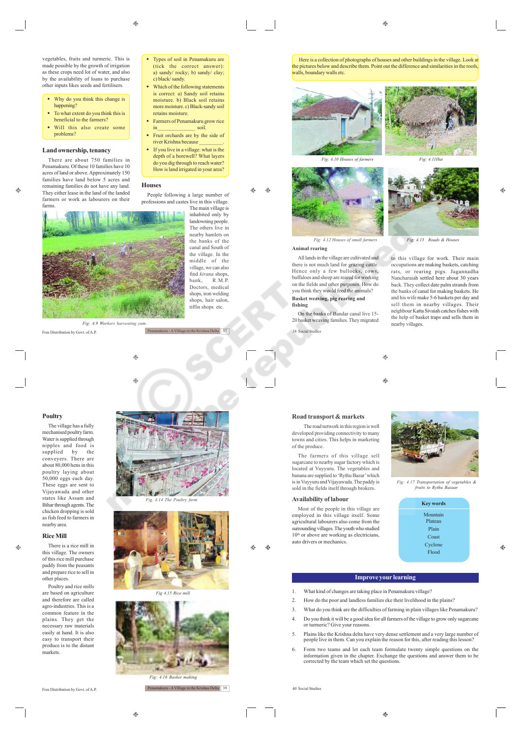c) black/sandy.

retains moisture.

 Types of soil in Penamakuru are (tick the correct answer): a) sandy/ rocky; b) sandy/ clay;

Which of the following statements is correct: a) Sandy soil retains moisture. b) Black soil retains more moisture. c) Black-sandy soil

 Farmers of Penamakuru grow rice in soil. Fruit orchards are by the side of river Krishna because \_\_\_\_\_\_\_\_\_. • If you live in a village: what is the depth of a borewell? What layers do you dig through to reach water? How is land irrigated in your area?

People following a large number of

The main village is inhabited only by landowning people. The others live in nearby hamlets on the banks of the canal and South of the village. In the middle of the village, we can also find *kirana* shops,<br>bank. R.M.P. R.M.P. Doctors, medical shops, iron welding shops, hair salon, tiffin shops etc.

 $\bigoplus$ 

vegetables, fruits and turmeric. This is made possible by the growth of irrigation as these crops need lot of water, and also by the availability of loans to purchase other inputs likes seeds and fertilisers.

- Why do you think this change is happening?
- To what extent do you think this is beneficial to the farmers?
- Will this also create some problems?

# **Land ownership, tenancy**

There are about 750 families in Penamakuru. Of these 10 families have 10 acres of land or above. Approximately 150 families have land below 5 acres and remaining families do not have any land. They either lease in the land of the landed farmers or work as labourers on their

æ



Penamakuru - A Village in the Krishna Delta 37

۵

۳

**Houses**

Free Distribution by Govt. of A.P.

The village has a fully mechanised poultry farm. Water is supplied through nipples and food is supplied by the conveyers. There are about 80,000 hens in this poultry laying about 50,000 eggs each day. These eggs are sent to Vijayawada and other states like Assam and Bihar through agents. The chicken dropping is sold as fish feed to farmers in nearby area.

# **Rice Mill**

 $\oplus$ 

There is a rice mill in this village. The owners of this rice mill purchase paddy from the peasants and prepare rice to sell in other places.

Poultry and rice mills are based on agriculture and therefore are called agro-industries. This is a common feature in the plains. They get the necessary raw materials easily at hand. It is also easy to transport their produce is to the distant markets.

Free Distribution by Govt. of A.P.









 $^{\circ}$ 

Penamakuru - A Village in the Krishna Delta 39

 Here is a collection of photographs of houses and other buildings in the village. Look at he pictures below and describe them. Point out the difference and similarities in the roofs, walls, boundary walls etc.





# **Animal rearing**

All lands in the village are cultivated and there is not much land for grazing cattle. Hence only a few bullocks, cows buffaloes and sheep are reared for working on the fields and other purposes. How do you think they would feed the animals? **Basket weaving, pig rearing and fishing**

On the banks of Bandar canal live 15- 20 basket weaving families. They migrated 38 Social Studies

*Fig: 4.10 Houses of farmers Fig: 4.11Hut*

 $\triangle$ 

*Fig: 4.12 Houses of small farmers* Fig: 4.13 Roads & Houses

to this village for work. Their main occupations are making baskets, catching rats, or rearing pigs. Jagannadha Nancharaiah settled here about 30 years back. They collect date palm strands from the banks of canal for making baskets. He and his wife make 5-6 baskets per day and sell them in nearby villages. Their neighbour Katta Sivaiah catches fishes with the help of basket traps and sells them in nearby villages.

 $\bigcirc$ 

 $\bigoplus$ 

# **Road transport & markets**

The road network in this region is well developed providing connectivity to many towns and cities. This helps in marketing of the produce.

The farmers of this village sell sugarcane to nearby sugar factory which is located at Vuyyuru. The vegetables and banana are supplied to 'Rythu Bazar' which is in Vuyyuru and Vijayawada. The paddy is sold in the fields itself through brokers.

# **Availability of labour**

Most of the people in this village are employed in this village itself. Some agricultural labourers also come from the surrounding villages. The youth who studied 10<sup>th</sup> or above are working as electricians, auto drivers or mechanics.



*Fig: 4.17 Transportation of vegetables & fruits to Rythu Baza* 

| <b>Key words</b> |
|------------------|
| Mountain         |
| Plateau<br>Plain |
| Coast            |
| Cyclone          |
| Flood            |

#### **Improve your learning**

- 1. What kind of changes are taking place in Penamakuru village?
- 2. How do the poor and landless families eke their livelihood in the plains?
- 3. What do you think are the difficulties of farming in plain villages like Penamakuru?
- 4. Do you think it will be a good idea for all farmers of the village to grow only sugarcane or turmeric? Give your reasons.
- 5. Plains like the Krishna delta have very dense settlement and a very large number of people live in them. Can you explain the reason for this, after reading this lesson?
- 6. Form two teams and let each team formulate twenty simple questions on the information given in the chapter. Exchange the questions and answer them to be corrected by the team which set the questions.

40 Social Studies